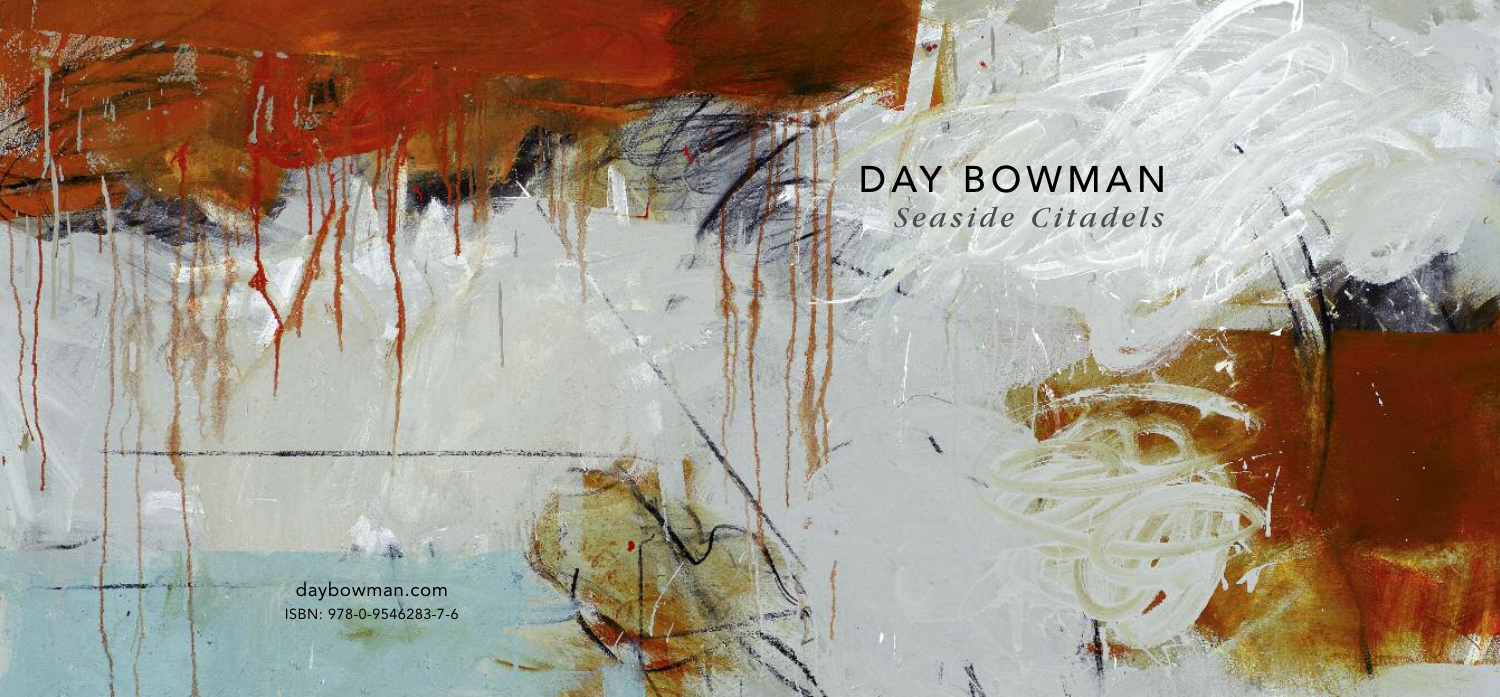# DAY BOWMAN *S easi d e Citad e ls*

daybowman.com ISBN: 978-0-9546283-7-6

con against the experience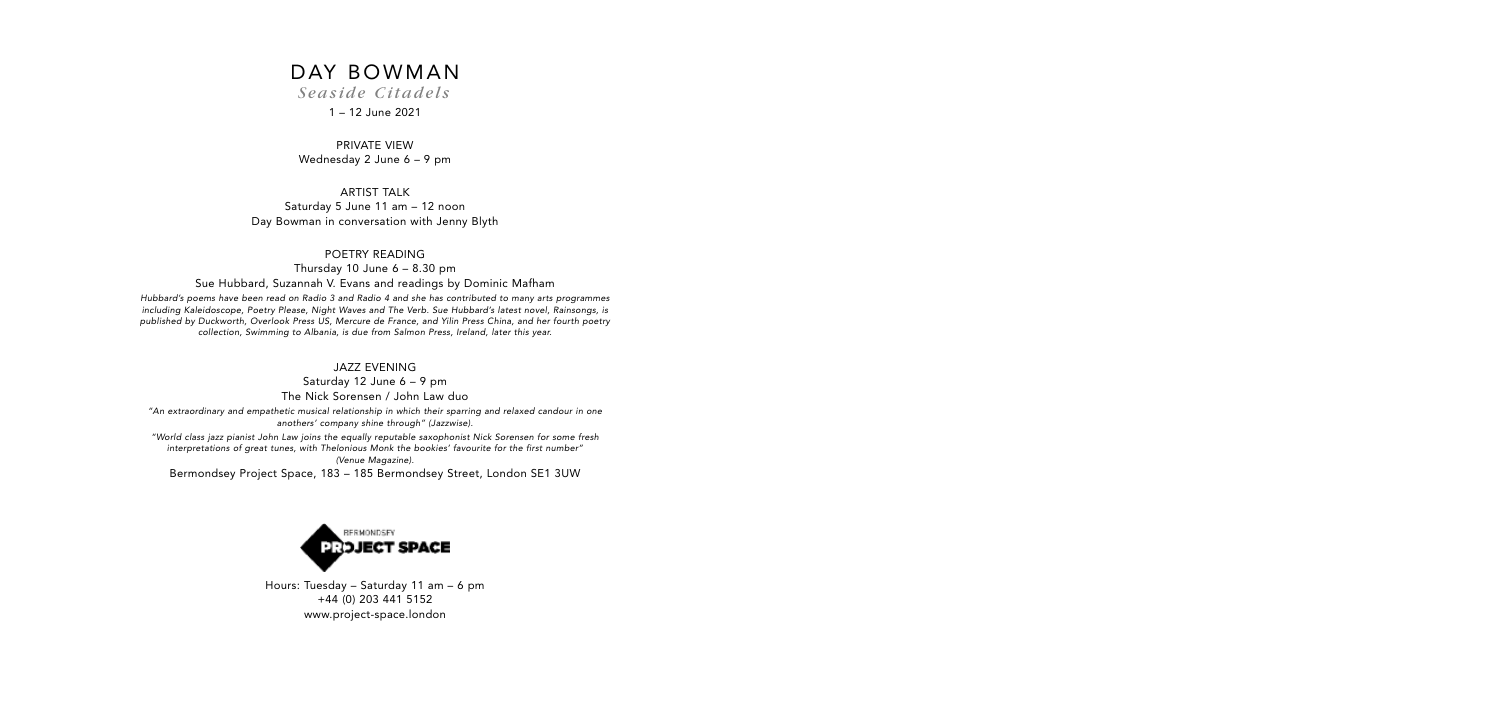# DAY BOWMAN

*S easi d e Citad e ls*

1 – 12 June 2021

PRIVATE VIEW Wednesday 2 June 6 – 9 pm

ARTIST TALK Saturday 5 June 11 am – 12 noon Day Bowman in conversation with Jenny Blyth

#### POETRY READING

Thursday 10 June 6 – 8.30 pm Sue Hubbard, Suzannah V. Evans and readings by Dominic Mafham

Hubbard's poems have been read on Radio 3 and Radio 4 and she has contributed to many arts programmes including Kaleidoscope, Poetry Please, Night Waves and The Verb. Sue Hubbard's latest novel, Rainsongs, is published by Duckworth, Overlook Press US, Mercure de France, and Yilin Press China, and her fourth poetry collection, Swimming to Albania, is due from Salmon Press, Ireland, later this year.

JAZZ EVENING

Saturday 12 June 6 – 9 pm The Nick Sorensen / John Law duo

"An extraordinary and empathetic musical relationship in which their sparring and relaxed candour in one anothers' company shine through" (Jazzwise).

"World class jazz pianist John Law joins the equally reputable saxophonist Nick Sorensen for some fresh interpretations of great tunes, with Thelonious Monk the bookies' favourite for the first number" (Venue Magazine).

Bermondsey Project Space, 183 – 185 Bermondsey Street, London SE1 3UW



Hours: Tuesday – Saturday 11 am – 6 pm +44 (0) 203 441 5152 www.project-space.london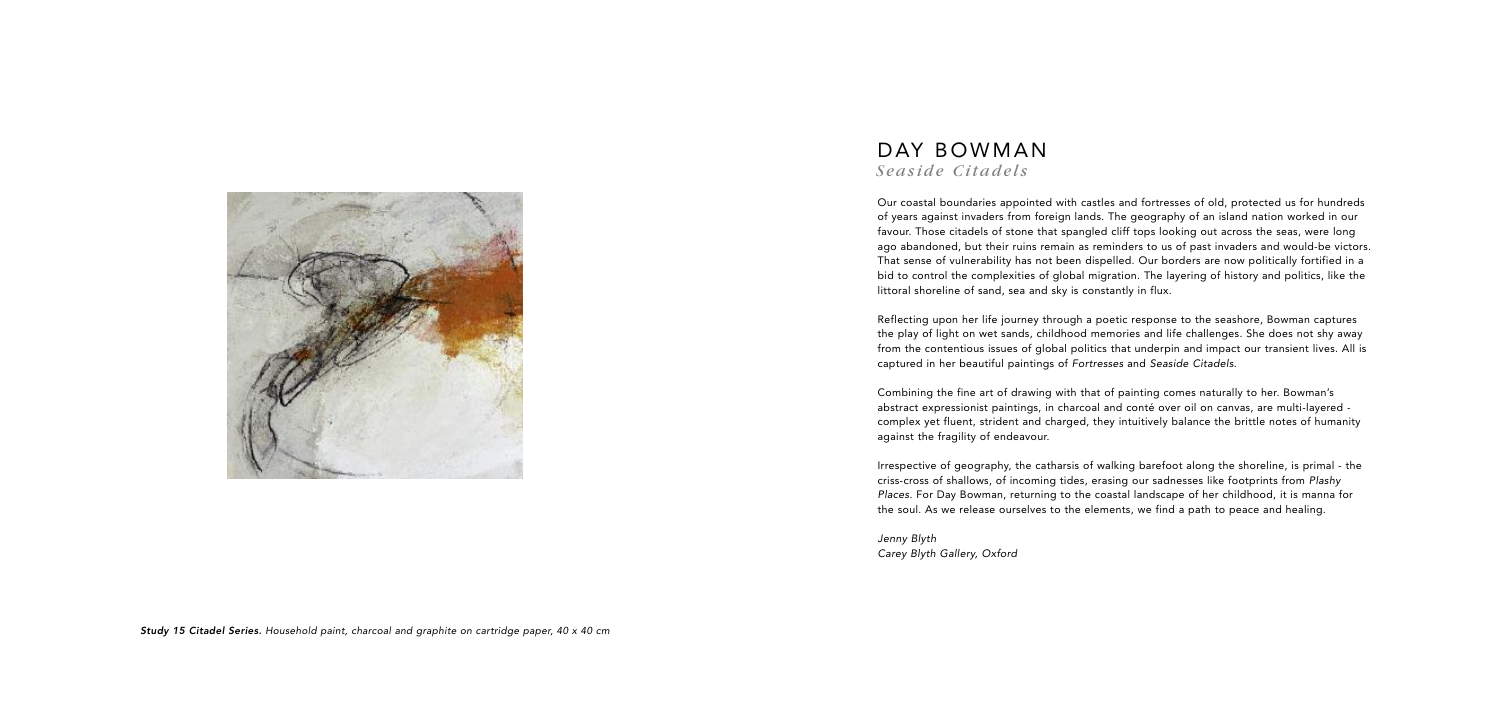## DAY BOWMAN *S easi d e Citad e ls*

Our coastal boundaries appointed with castles and fortresses of old, protected us for hundreds of years against invaders from foreign lands. The geography of an island nation worked in our favour. Those citadels of stone that spangled cliff tops looking out across the seas, were long ago abandoned, but their ruins remain as reminders to us of past invaders and would-be victors. That sense of vulnerability has not been dispelled. Our borders are now politically fortified in a bid to control the complexities of global migration. The layering of history and politics, like the littoral shoreline of sand, sea and sky is constantly in flux.

Reflecting upon her life journey through a poetic response to the seashore, Bowman captures the play of light on wet sands, childhood memories and life challenges. She does not shy away from the contentious issues of global politics that underpin and impact our transient lives. All is captured in her beautiful paintings of Fortresses and Seaside Citadels.

Combining the fine art of drawing with that of painting comes naturally to her. Bowman's abstract expressionist paintings, in charcoal and conté over oil on canvas, are multi-layered complex yet fluent, strident and charged, they intuitively balance the brittle notes of humanity against the fragility of endeavour.

Irrespective of geography, the catharsis of walking barefoot along the shoreline, is primal - the criss-cross of shallows, of incoming tides, erasing our sadnesses like footprints from Plashy Places. For Day Bowman, returning to the coastal landscape of her childhood, it is manna for the soul. As we release ourselves to the elements, we find a path to peace and healing.

Jenny Blyth Carey Blyth Gallery, Oxford

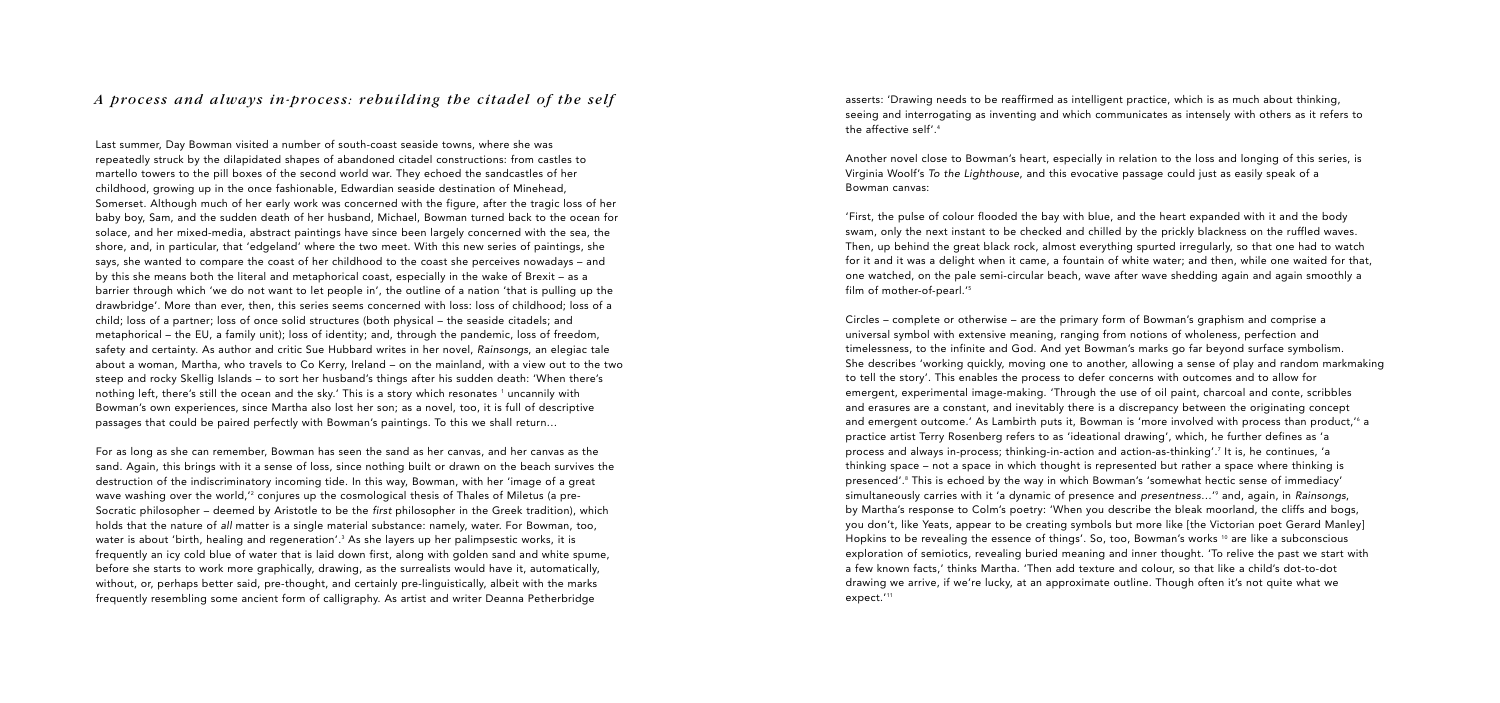asserts: 'Drawing needs to be reaffirmed as intelligent practice, which is as much about thinking, seeing and interrogating as inventing and which communicates as intensely with others as it refers to the affective self'. 4

Another novel close to Bowman's heart, especially in relation to the loss and longing of this series, is Virginia Woolf's To the Lighthouse, and this evocative passage could just as easily speak of a Bowman canvas:

Circles – complete or otherwise – are the primary form of Bowman's graphism and comprise a universal symbol with extensive meaning, ranging from notions of wholeness, perfection and timelessness, to the infinite and God. And yet Bowman's marks go far beyond surface symbolism. She describes 'working quickly, moving one to another, allowing a sense of play and random markmaking to tell the story'. This enables the process to defer concerns with outcomes and to allow for emergent, experimental image-making. 'Through the use of oil paint, charcoal and conte, scribbles and erasures are a constant, and inevitably there is a discrepancy between the originating concept and emergent outcome.' As Lambirth puts it, Bowman is 'more involved with process than product,' <sup>6</sup> a practice artist Terry Rosenberg refers to as 'ideational drawing', which, he further defines as 'a process and always in-process; thinking-in-action and action-as-thinking'. <sup>7</sup> It is, he continues, 'a thinking space – not a space in which thought is represented but rather a space where thinking is presenced'. <sup>8</sup> This is echoed by the way in which Bowman's 'somewhat hectic sense of immediacy' simultaneously carries with it 'a dynamic of presence and presentness…' <sup>9</sup> and, again, in Rainsongs, by Martha's response to Colm's poetry: 'When you describe the bleak moorland, the cliffs and bogs, you don't, like Yeats, appear to be creating symbols but more like [the Victorian poet Gerard Manley] Hopkins to be revealing the essence of things'. So, too, Bowman's works <sup>10</sup> are like a subconscious exploration of semiotics, revealing buried meaning and inner thought. 'To relive the past we start with a few known facts,' thinks Martha. 'Then add texture and colour, so that like a child's dot-to-dot drawing we arrive, if we're lucky, at an approximate outline. Though often it's not quite what we expect.<sup>'11</sup>

'First, the pulse of colour flooded the bay with blue, and the heart expanded with it and the body swam, only the next instant to be checked and chilled by the prickly blackness on the ruffled waves. Then, up behind the great black rock, almost everything spurted irregularly, so that one had to watch for it and it was a delight when it came, a fountain of white water; and then, while one waited for that, one watched, on the pale semi-circular beach, wave after wave shedding again and again smoothly a film of mother-of-pearl.' 5

Last summer, Day Bowman visited a number of south-coast seaside towns, where she was repeatedly struck by the dilapidated shapes of abandoned citadel constructions: from castles to martello towers to the pill boxes of the second world war. They echoed the sandcastles of her childhood, growing up in the once fashionable, Edwardian seaside destination of Minehead, Somerset. Although much of her early work was concerned with the figure, after the tragic loss of her baby boy, Sam, and the sudden death of her husband, Michael, Bowman turned back to the ocean for solace, and her mixed-media, abstract paintings have since been largely concerned with the sea, the shore, and, in particular, that 'edgeland' where the two meet. With this new series of paintings, she says, she wanted to compare the coast of her childhood to the coast she perceives nowadays – and by this she means both the literal and metaphorical coast, especially in the wake of Brexit – as a barrier through which 'we do not want to let people in', the outline of a nation 'that is pulling up the drawbridge'. More than ever, then, this series seems concerned with loss: loss of childhood; loss of a child; loss of a partner; loss of once solid structures (both physical – the seaside citadels; and metaphorical – the EU, a family unit); loss of identity; and, through the pandemic, loss of freedom, safety and certainty. As author and critic Sue Hubbard writes in her novel, Rainsongs, an elegiac tale about a woman, Martha, who travels to Co Kerry, Ireland – on the mainland, with a view out to the two steep and rocky Skellig Islands – to sort her husband's things after his sudden death: 'When there's nothing left, there's still the ocean and the sky.' This is a story which resonates 1 uncannily with Bowman's own experiences, since Martha also lost her son; as a novel, too, it is full of descriptive passages that could be paired perfectly with Bowman's paintings. To this we shall return…

For as long as she can remember, Bowman has seen the sand as her canvas, and her canvas as the sand. Again, this brings with it a sense of loss, since nothing built or drawn on the beach survives the destruction of the indiscriminatory incoming tide. In this way, Bowman, with her 'image of a great wave washing over the world,' <sup>2</sup> conjures up the cosmological thesis of Thales of Miletus (a pre-Socratic philosopher – deemed by Aristotle to be the first philosopher in the Greek tradition), which holds that the nature of all matter is a single material substance: namely, water. For Bowman, too, water is about 'birth, healing and regeneration'. <sup>3</sup> As she layers up her palimpsestic works, it is frequently an icy cold blue of water that is laid down first, along with golden sand and white spume, before she starts to work more graphically, drawing, as the surrealists would have it, automatically, without, or, perhaps better said, pre-thought, and certainly pre-linguistically, albeit with the marks frequently resembling some ancient form of calligraphy. As artist and writer Deanna Petherbridge

### *A process and always in-process: rebuilding the citadel of the self*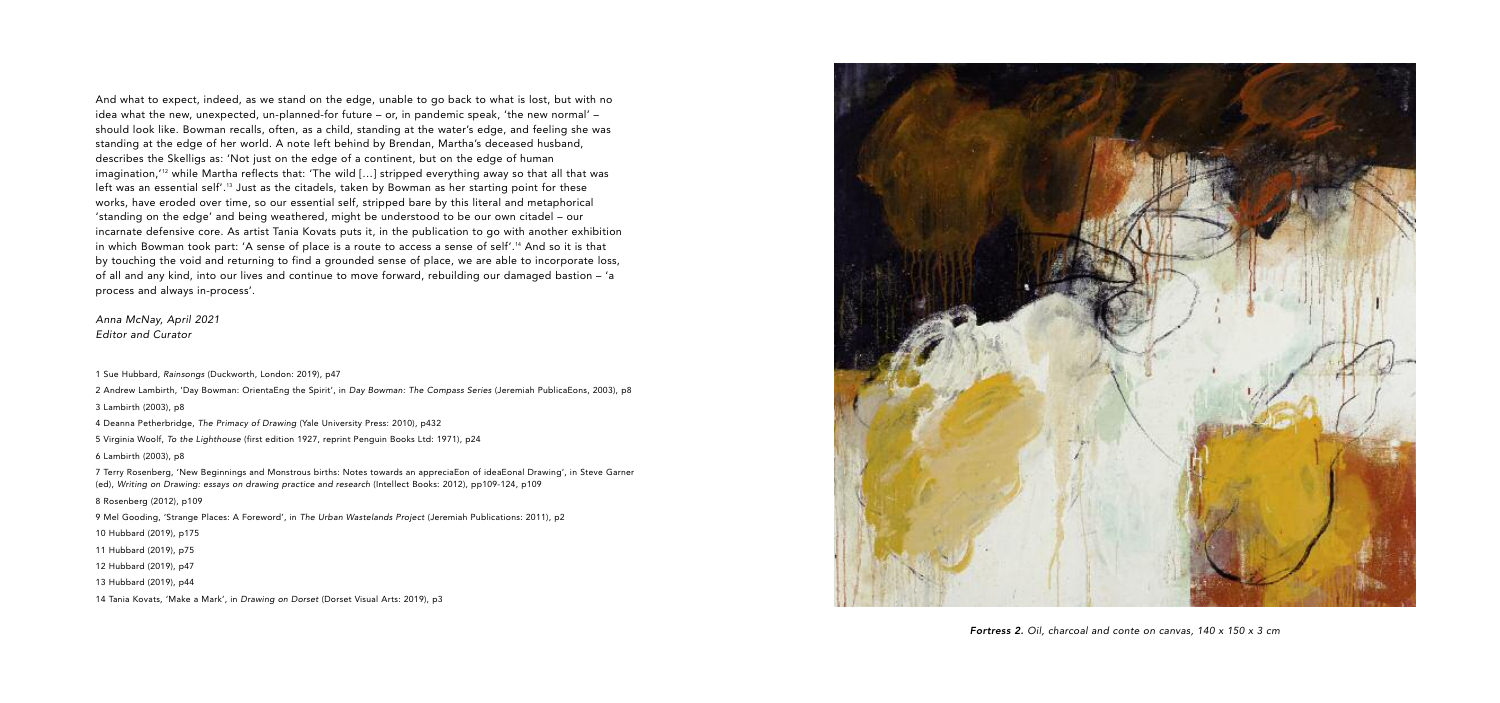Fortress 2. Oil, charcoal and conte on canvas, 140 x 150 x 3 cm

And what to expect, indeed, as we stand on the edge, unable to go back to what is lost, but with no idea what the new, unexpected, un-planned-for future – or, in pandemic speak, 'the new normal' – should look like. Bowman recalls, often, as a child, standing at the water's edge, and feeling she was standing at the edge of her world. A note left behind by Brendan, Martha's deceased husband, describes the Skelligs as: 'Not just on the edge of a continent, but on the edge of human imagination,' <sup>12</sup> while Martha reflects that: 'The wild […] stripped everything away so that all that was left was an essential self'. <sup>13</sup> Just as the citadels, taken by Bowman as her starting point for these works, have eroded over time, so our essential self, stripped bare by this literal and metaphorical 'standing on the edge' and being weathered, might be understood to be our own citadel – our incarnate defensive core. As artist Tania Kovats puts it, in the publication to go with another exhibition in which Bowman took part: 'A sense of place is a route to access a sense of self'. <sup>14</sup> And so it is that by touching the void and returning to find a grounded sense of place, we are able to incorporate loss, of all and any kind, into our lives and continue to move forward, rebuilding our damaged bastion – 'a process and always in-process'.

Anna McNay, April 2021 Editor and Curator

1 Sue Hubbard, Rainsongs (Duckworth, London: 2019), p47

2 Andrew Lambirth, 'Day Bowman: OrientaEng the Spirit', in Day Bowman: The Compass Series (Jeremiah PublicaEons, 2003), p8

3 Lambirth (2003), p8

4 Deanna Petherbridge, The Primacy of Drawing (Yale University Press: 2010), p432

5 Virginia Woolf, To the Lighthouse (first edition 1927, reprint Penguin Books Ltd: 1971), p24

6 Lambirth (2003), p8

7 Terry Rosenberg, 'New Beginnings and Monstrous births: Notes towards an appreciaEon of ideaEonal Drawing', in Steve Garner (ed), Writing on Drawing: essays on drawing practice and research (Intellect Books: 2012), pp109-124, p109

8 Rosenberg (2012), p109

9 Mel Gooding, 'Strange Places: A Foreword', in The Urban Wastelands Project (Jeremiah Publications: 2011), p2

10 Hubbard (2019), p175

11 Hubbard (2019), p75

12 Hubbard (2019), p47

13 Hubbard (2019), p44

14 Tania Kovats, 'Make a Mark', in Drawing on Dorset (Dorset Visual Arts: 2019), p3

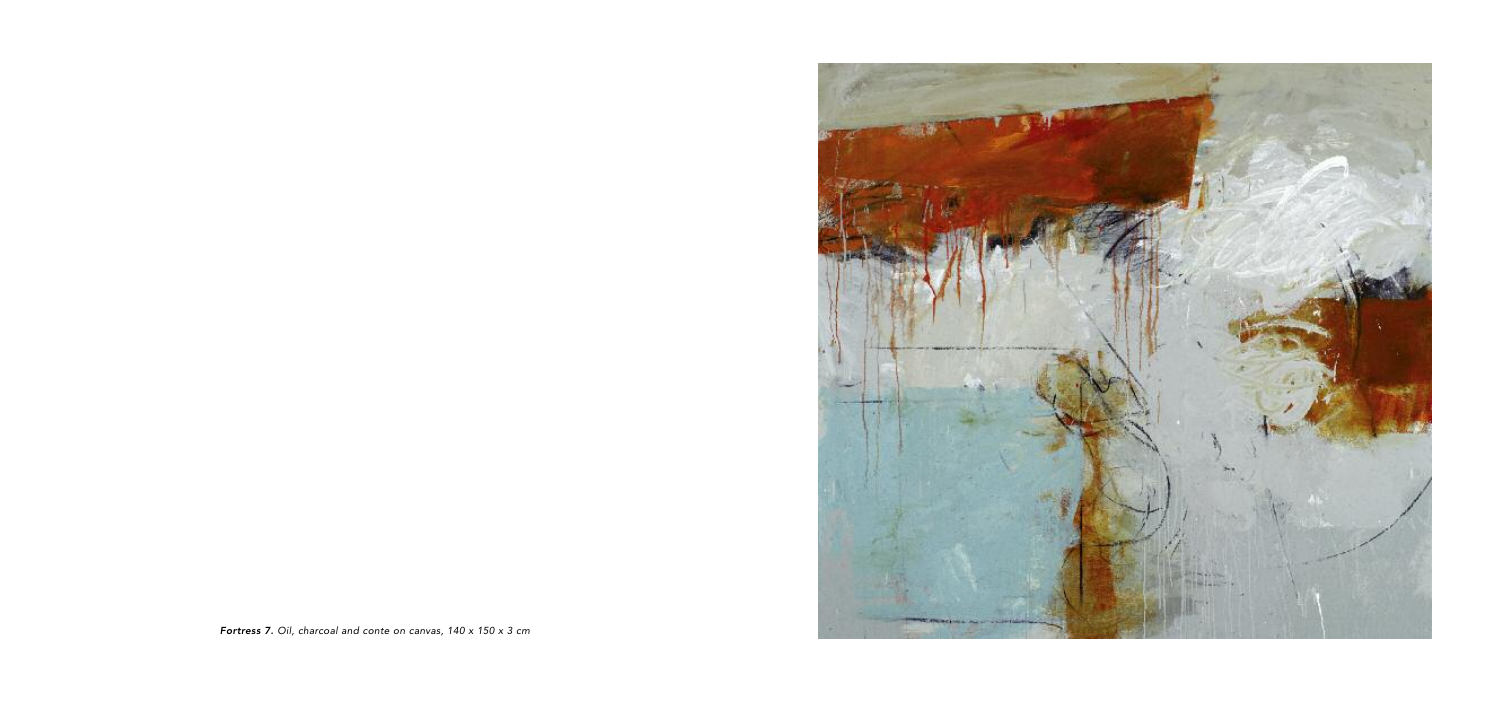

Fortress 7. Oil, charcoal and conte on canvas, 140 x 150 x 3 cm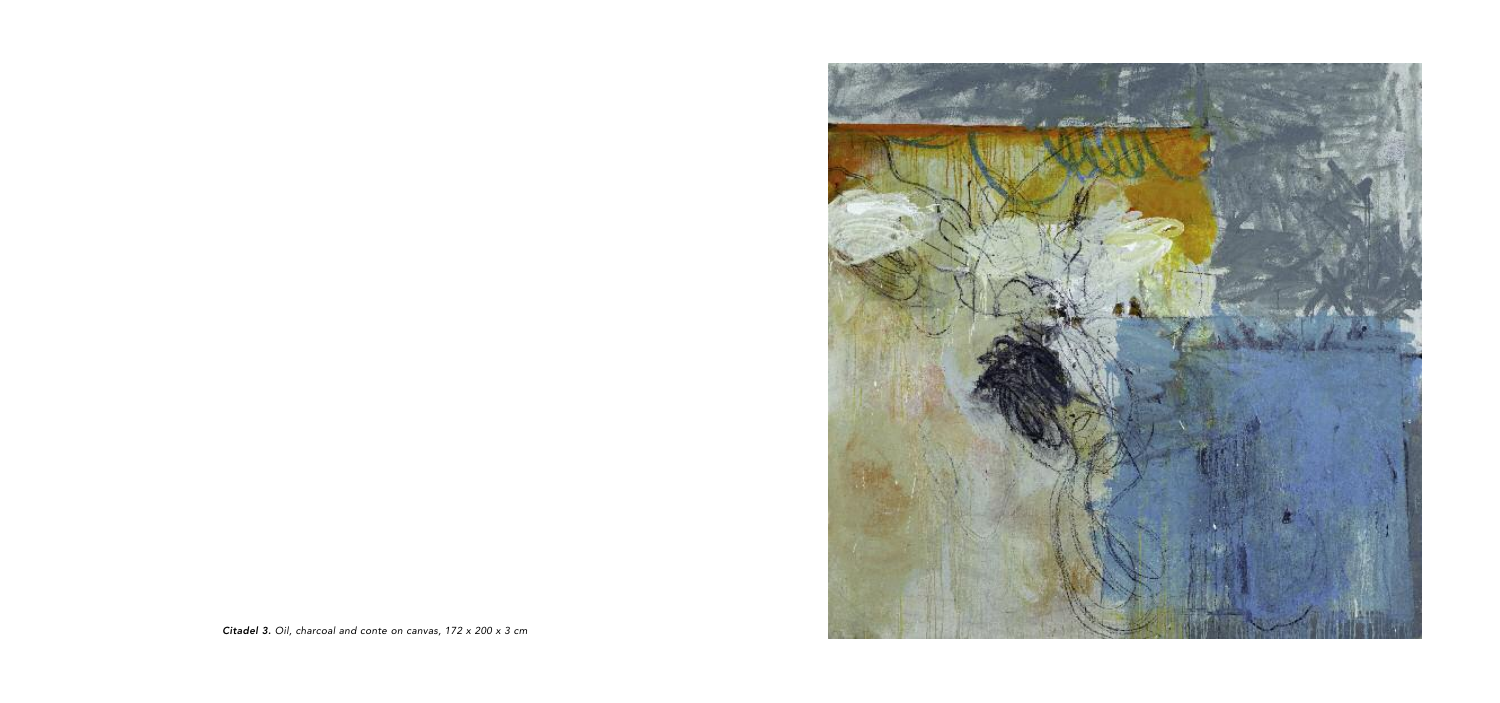

Citadel 3. Oil, charcoal and conte on canvas, 172 x 200 x 3 cm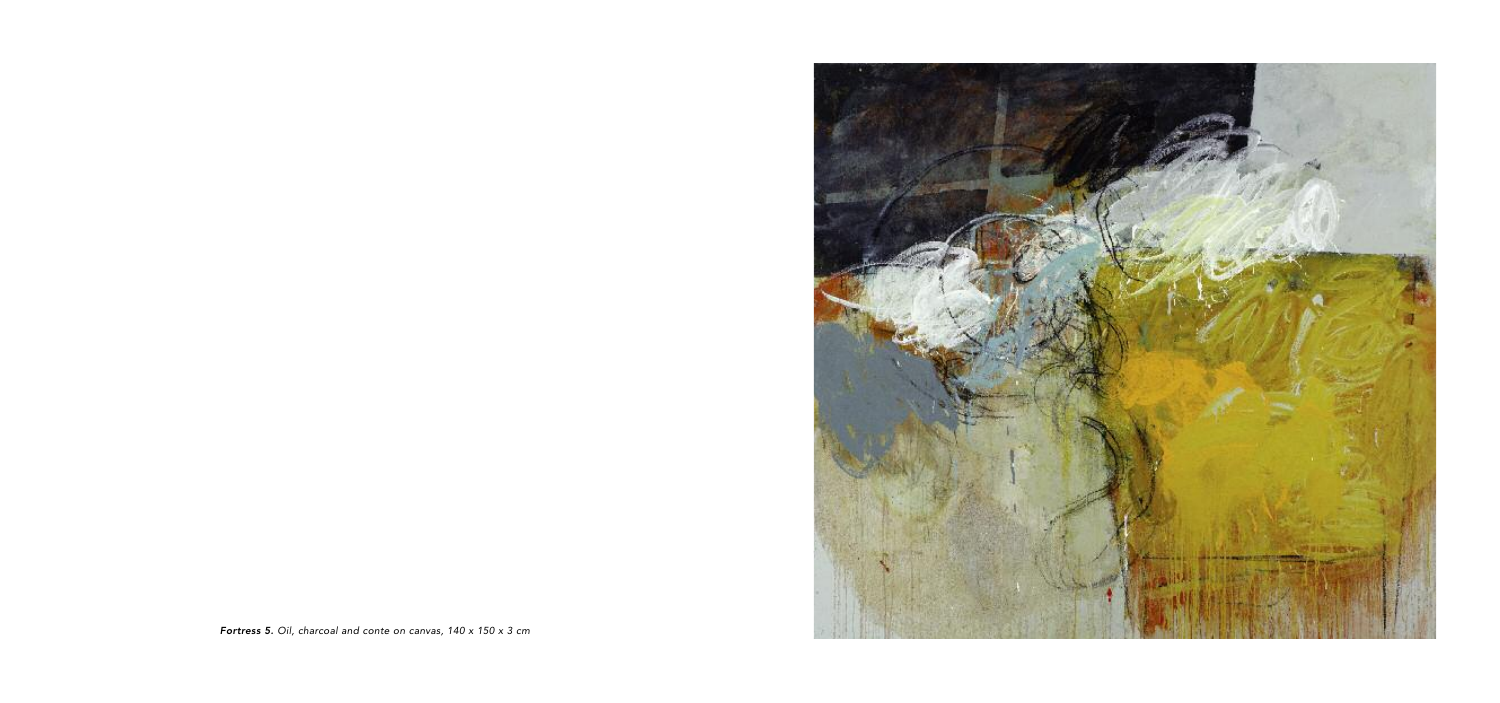

Fortress 5. Oil, charcoal and conte on canvas, 140 x 150 x 3 cm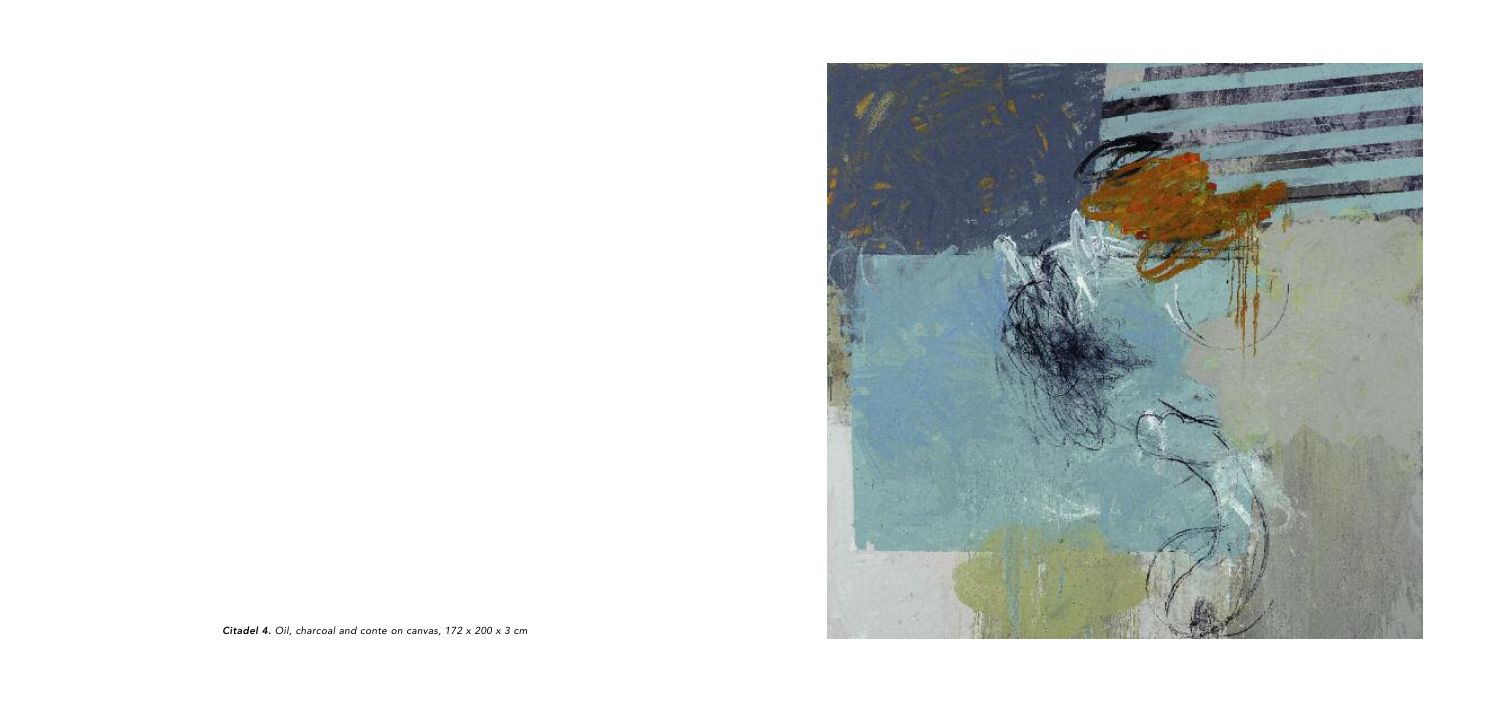

Citadel 4. Oil, charcoal and conte on canvas, 172 x 200 x 3 cm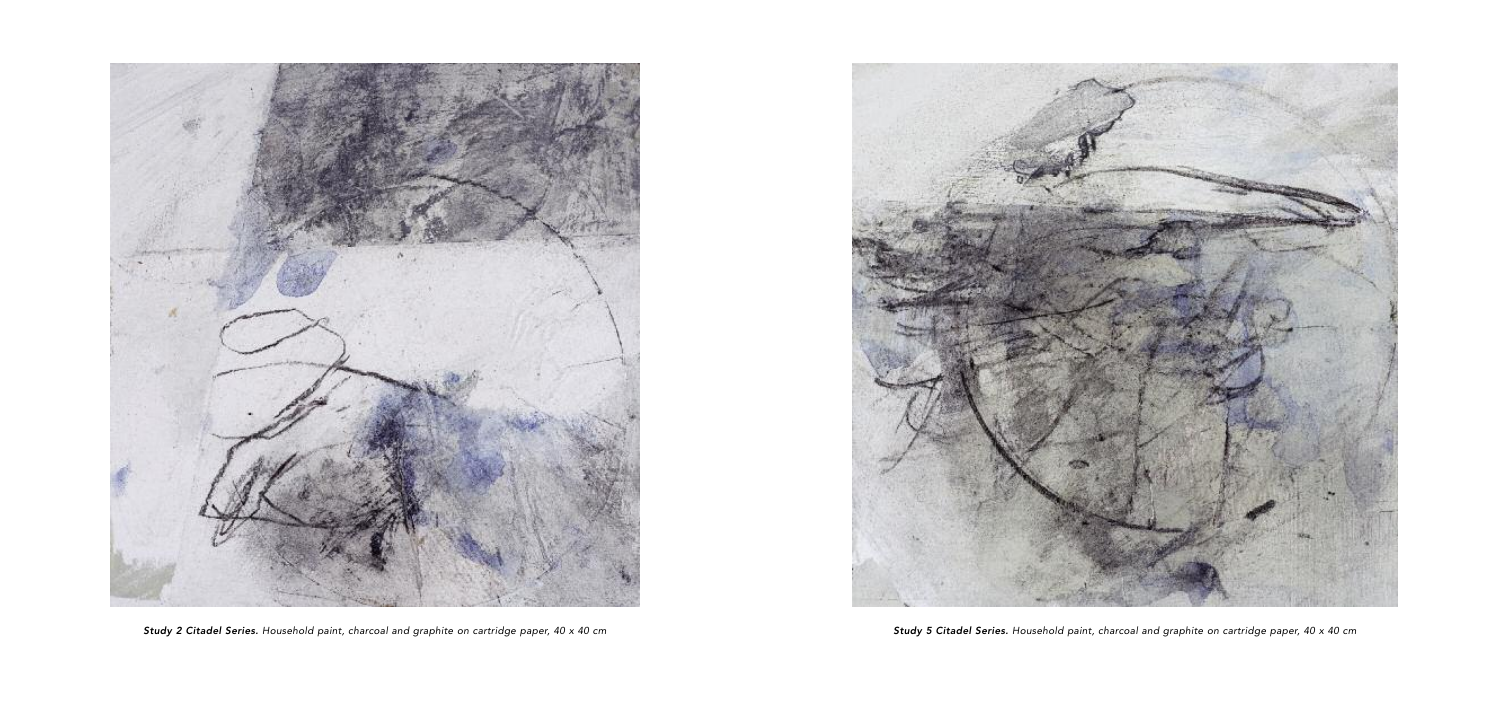



Study 2 Citadel Series. Household paint, charcoal and graphite on cartridge paper, 40 x 40 cm Study 5 Citadel Series. Household paint, charcoal and graphite on cartridge paper, 40 x 40 cm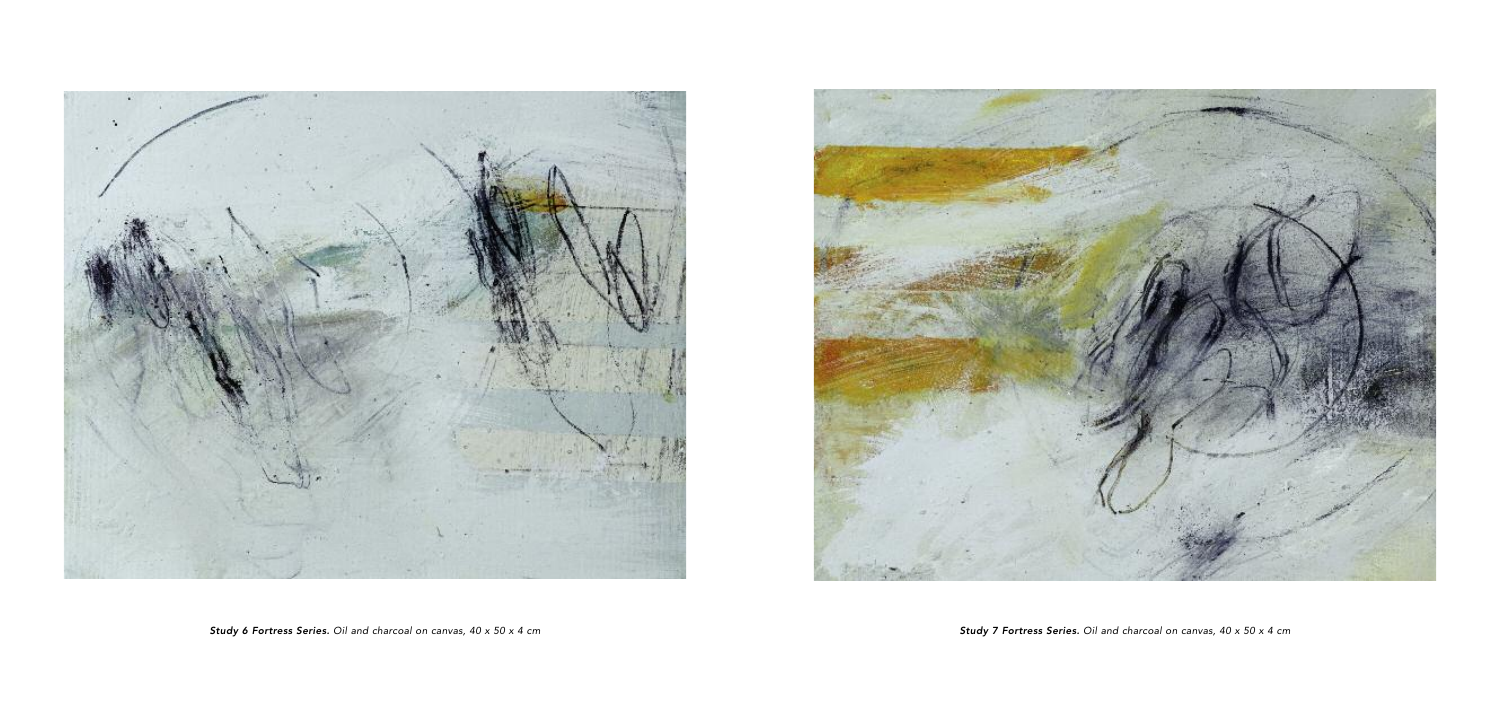

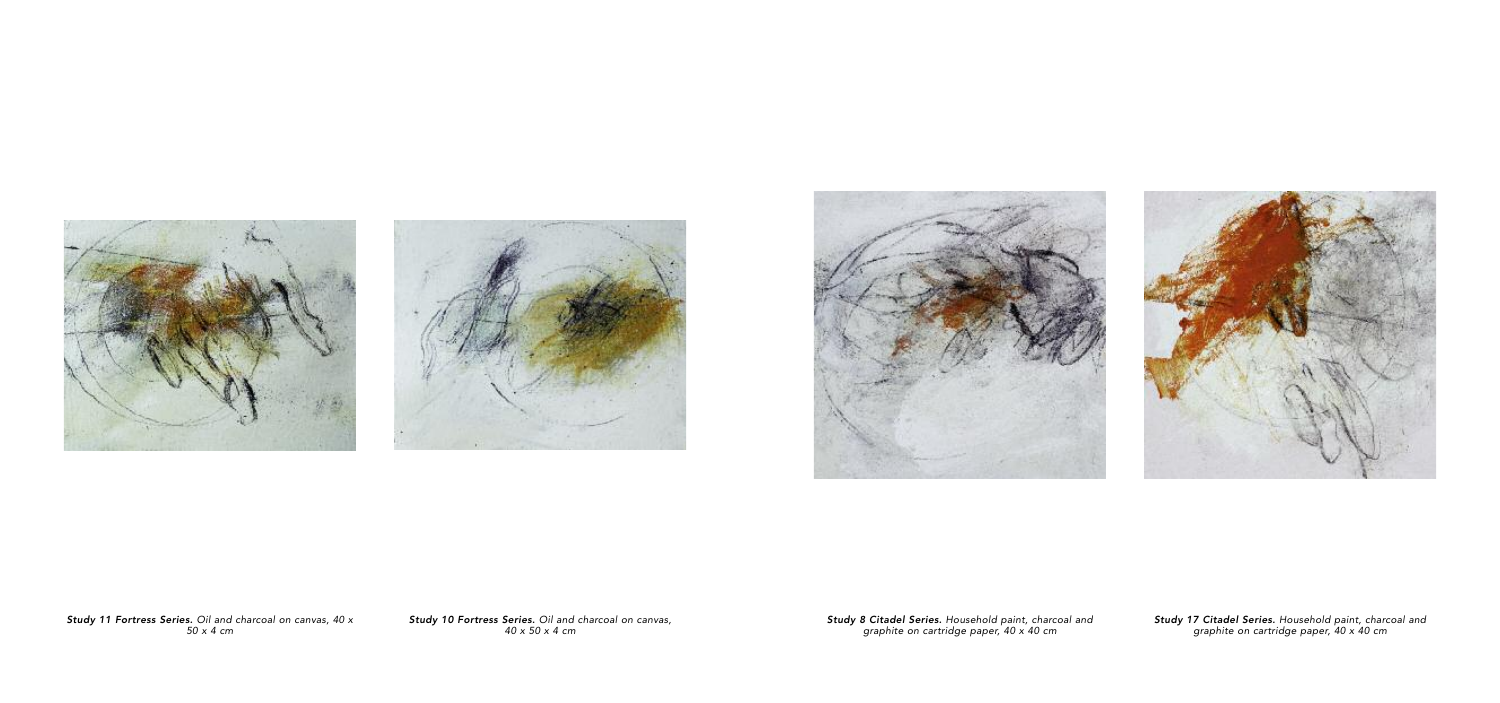





Study 11 Fortress Series. Oil and charcoal on canvas, 40 x 5 0 x 4 c m

Study 10 Fortress Series. Oil and charcoal on canvas, 40 x 50 x 4 cm

Study 8 Citadel Series. Household paint, charcoal and graphite on cartridge paper, 40 x 40 cm



Study 17 Citadel Series. Household paint, charcoal and graphite on cartridge paper, 40 x 40 cm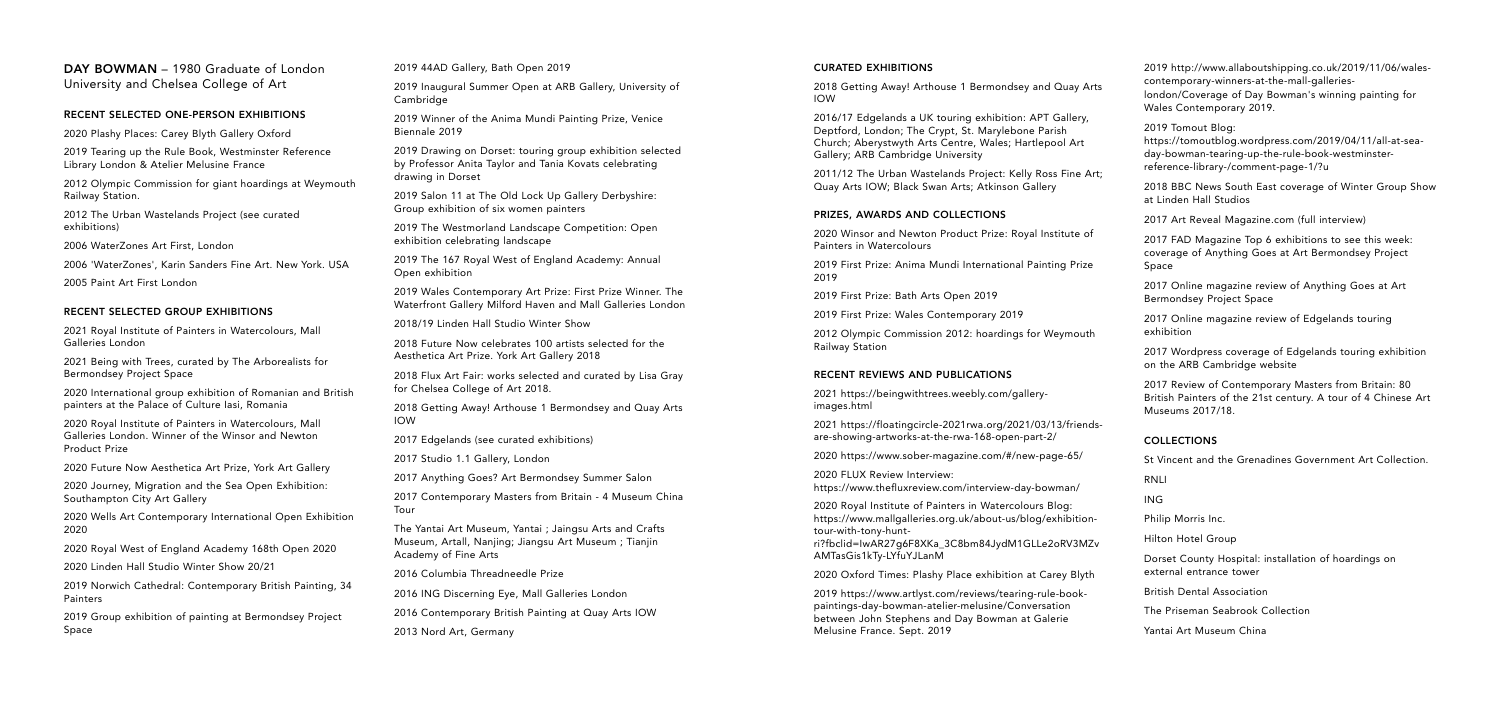DAY BOWMAN – 1980 Graduate of London University and Chelsea College of Art

#### RECENT SELECTED ONE-PERSON EXHIBITIONS

2020 Plashy Places: Carey Blyth Gallery Oxford

2019 Tearing up the Rule Book, Westminster Reference Library London & Atelier Melusine France

2012 Olympic Commission for giant hoardings at Weymouth Railway Station.

2012 The Urban Wastelands Project (see curated exhibitions)

2006 WaterZones Art First, London

2006 'WaterZones', Karin Sanders Fine Art. New York. USA

2005 Paint Art First London

#### RECENT SELECTED GROUP EXHIBITIONS

2021 Royal Institute of Painters in Watercolours, Mall Galleries London

2021 Being with Trees, curated by The Arborealists for Bermondsey Project Space

2020 International group exhibition of Romanian and British painters at the Palace of Culture Iasi, Romania

2020 Royal Institute of Painters in Watercolours, Mall Galleries London. Winner of the Winsor and Newton Product Prize

2020 Future Now Aesthetica Art Prize, York Art Gallery

2020 Journey, Migration and the Sea Open Exhibition: Southampton City Art Gallery

2020 Wells Art Contemporary International Open Exhibition 2020

2020 Royal West of England Academy 168th Open 2020

2020 Linden Hall Studio Winter Show 20/21

2019 Norwich Cathedral: Contemporary British Painting, 34 Painters

2019 Group exhibition of painting at Bermondsey Project Space

2019 44AD Gallery, Bath Open 2019

2019 Inaugural Summer Open at ARB Gallery, University of Cambridge

2018 Getting Away! Arthouse 1 Bermonds IOW

2019 Winner of the Anima Mundi Painting Prize, Venice Biennale 2019

2016/17 Edgelands a UK touring exhibition Deptford, London; The Crypt, St. Marylebon Church; Aberystwyth Arts Centre, Wales; Gallery; ARB Cambridge University

2011/12 The Urban Wastelands Project: Ko Quay Arts IOW; Black Swan Arts; Atkinson

2019 Drawing on Dorset: touring group exhibition selected by Professor Anita Taylor and Tania Kovats celebrating drawing in Dorset

> 2020 Winsor and Newton Product Prize: R Painters in Watercolours

> 2019 First Prize: Anima Mundi Internation 2019

2019 Salon 11 at The Old Lock Up Gallery Derbyshire: Group exhibition of six women painters

> 2012 Olympic Commission 2012: hoarding Railway Station

2019 The Westmorland Landscape Competition: Open exhibition celebrating landscape

> 2021 https://beingwithtrees.weebly.com/g images.html

> 2021 https://floatingcircle-2021rwa.org/20 are-showing-artworks-at-the-rwa-168-oper

> 2020 https://www.sober-magazine.com/#/

2019 The 167 Royal West of England Academy: Annual Open exhibition

> 2020 FLUX Review Interview: https://www.thefluxreview.com/interview-

2019 Wales Contemporary Art Prize: First Prize Winner. The Waterfront Gallery Milford Haven and Mall Galleries London

> 2020 Royal Institute of Painters in Waterco https://www.mallgalleries.org.uk/about-us/ tour-with-tony-hunt-

> ri?fbclid=IwAR27g6F8XKa\_3C8bm84JydM AMTasGis1kTy-LYfuYJLanM

> 2020 Oxford Times: Plashy Place exhibitio

2018/19 Linden Hall Studio Winter Show

2018 Future Now celebrates 100 artists selected for the Aesthetica Art Prize. York Art Gallery 2018

> 2019 https://www.artlyst.com/reviews/tea paintings-day-bowman-atelier-melusine/C between John Stephens and Day Bowmar Melusine France. Sept. 2019

2018 Flux Art Fair: works selected and curated by Lisa Gray for Chelsea College of Art 2018.

2018 Getting Away! Arthouse 1 Bermondsey and Quay Arts IOW

2017 Edgelands (see curated exhibitions)

2017 Studio 1.1 Gallery, London

2017 Anything Goes? Art Bermondsey Summer Salon

2017 Contemporary Masters from Britain - 4 Museum China Tour

The Yantai Art Museum, Yantai ; Jaingsu Arts and Crafts Museum, Artall, Nanjing; Jiangsu Art Museum ; Tianjin Academy of Fine Arts

2016 Columbia Threadneedle Prize

2016 ING Discerning Eye, Mall Galleries London

2016 Contemporary British Painting at Quay Arts IOW

2013 Nord Art, Germany

#### CURATED EXHIBITIONS

#### PRIZES, AWARDS AND COLLECTIONS

2019 First Prize: Bath Arts Open 2019

2019 First Prize: Wales Contemporary 2019

#### RECENT REVIEWS AND PUBLICATIONS

| sey and Quay Arts                                                      | 2019 http://www.allaboutshipping.co.uk/2019/11/06/wales-<br>contemporary-winners-at-the-mall-galleries-<br>london/Coverage of Day Bowman's winning painting for<br>Wales Contemporary 2019. |
|------------------------------------------------------------------------|---------------------------------------------------------------------------------------------------------------------------------------------------------------------------------------------|
| n: APT Gallery,<br>one Parish<br>Hartlepool Art<br>elly Ross Fine Art; | 2019 Tomout Blog:<br>https://tomoutblog.wordpress.com/2019/04/11/all-at-sea-<br>day-bowman-tearing-up-the-rule-book-westminster-<br>reference-library-/comment-page-1/?u                    |
| า Gallery                                                              | 2018 BBC News South East coverage of Winter Group Show<br>at Linden Hall Studios                                                                                                            |
|                                                                        | 2017 Art Reveal Magazine.com (full interview)                                                                                                                                               |
| oyal Institute of<br>al Painting Prize                                 | 2017 FAD Magazine Top 6 exhibitions to see this week:<br>coverage of Anything Goes at Art Bermondsey Project<br>Space                                                                       |
|                                                                        | 2017 Online magazine review of Anything Goes at Art<br><b>Bermondsey Project Space</b>                                                                                                      |
| 9<br>gs for Weymouth                                                   | 2017 Online magazine review of Edgelands touring<br>exhibition                                                                                                                              |
|                                                                        | 2017 Wordpress coverage of Edgelands touring exhibition<br>on the ARB Cambridge website                                                                                                     |
| jallery-                                                               | 2017 Review of Contemporary Masters from Britain: 80<br>British Painters of the 21st century. A tour of 4 Chinese Art<br>Museums 2017/18.                                                   |
| 021/03/13/friends-<br>n-part-2/                                        | <b>COLLECTIONS</b>                                                                                                                                                                          |
| new-page-65/                                                           | St Vincent and the Grenadines Government Art Collection.                                                                                                                                    |
|                                                                        | RNLI                                                                                                                                                                                        |
| day-bowman/                                                            | ING                                                                                                                                                                                         |
| olours Blog:<br>/blog/exhibition-                                      | Philip Morris Inc.                                                                                                                                                                          |
| l1GLLe2oRV3MZv                                                         | Hilton Hotel Group                                                                                                                                                                          |
| on at Carey Blyth                                                      | Dorset County Hospital: installation of hoardings on<br>external entrance tower                                                                                                             |
| ring-rule-book-                                                        | <b>British Dental Association</b>                                                                                                                                                           |
| onversation<br>າ at Galerie                                            | The Priseman Seabrook Collection                                                                                                                                                            |
|                                                                        | Yantai Art Museum China                                                                                                                                                                     |